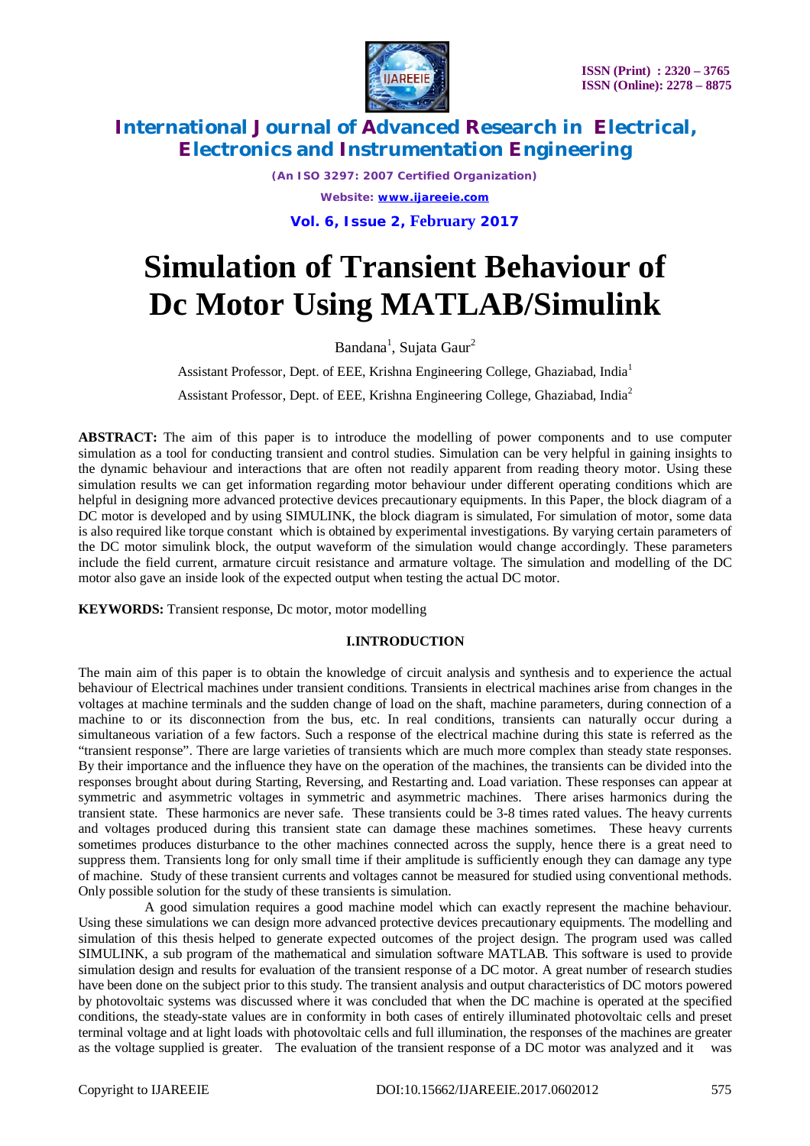

*(An ISO 3297: 2007 Certified Organization) Website: [www.ijareeie.com](http://www.ijareeie.com)* **Vol. 6, Issue 2, February 2017**

# **Simulation of Transient Behaviour of Dc Motor Using MATLAB/Simulink**

Bandana<sup>1</sup>, Sujata Gaur<sup>2</sup>

Assistant Professor, Dept. of EEE, Krishna Engineering College, Ghaziabad, India<sup>1</sup>

Assistant Professor, Dept. of EEE, Krishna Engineering College, Ghaziabad, India<sup>2</sup>

**ABSTRACT:** The aim of this paper is to introduce the modelling of power components and to use computer simulation as a tool for conducting transient and control studies. Simulation can be very helpful in gaining insights to the dynamic behaviour and interactions that are often not readily apparent from reading theory motor. Using these simulation results we can get information regarding motor behaviour under different operating conditions which are helpful in designing more advanced protective devices precautionary equipments. In this Paper, the block diagram of a DC motor is developed and by using SIMULINK, the block diagram is simulated, For simulation of motor, some data is also required like torque constant which is obtained by experimental investigations. By varying certain parameters of the DC motor simulink block, the output waveform of the simulation would change accordingly. These parameters include the field current, armature circuit resistance and armature voltage. The simulation and modelling of the DC motor also gave an inside look of the expected output when testing the actual DC motor.

**KEYWORDS:** Transient response, Dc motor, motor modelling

#### **I.INTRODUCTION**

The main aim of this paper is to obtain the knowledge of circuit analysis and synthesis and to experience the actual behaviour of Electrical machines under transient conditions. Transients in electrical machines arise from changes in the voltages at machine terminals and the sudden change of load on the shaft, machine parameters, during connection of a machine to or its disconnection from the bus, etc. In real conditions, transients can naturally occur during a simultaneous variation of a few factors. Such a response of the electrical machine during this state is referred as the "transient response". There are large varieties of transients which are much more complex than steady state responses. By their importance and the influence they have on the operation of the machines, the transients can be divided into the responses brought about during Starting, Reversing, and Restarting and. Load variation. These responses can appear at symmetric and asymmetric voltages in symmetric and asymmetric machines. There arises harmonics during the transient state. These harmonics are never safe. These transients could be 3-8 times rated values. The heavy currents and voltages produced during this transient state can damage these machines sometimes. These heavy currents sometimes produces disturbance to the other machines connected across the supply, hence there is a great need to suppress them. Transients long for only small time if their amplitude is sufficiently enough they can damage any type of machine. Study of these transient currents and voltages cannot be measured for studied using conventional methods. Only possible solution for the study of these transients is simulation.

 A good simulation requires a good machine model which can exactly represent the machine behaviour. Using these simulations we can design more advanced protective devices precautionary equipments. The modelling and simulation of this thesis helped to generate expected outcomes of the project design. The program used was called SIMULINK, a sub program of the mathematical and simulation software MATLAB. This software is used to provide simulation design and results for evaluation of the transient response of a DC motor. A great number of research studies have been done on the subject prior to this study. The transient analysis and output characteristics of DC motors powered by photovoltaic systems was discussed where it was concluded that when the DC machine is operated at the specified conditions, the steady-state values are in conformity in both cases of entirely illuminated photovoltaic cells and preset terminal voltage and at light loads with photovoltaic cells and full illumination, the responses of the machines are greater as the voltage supplied is greater. The evaluation of the transient response of a DC motor was analyzed and it was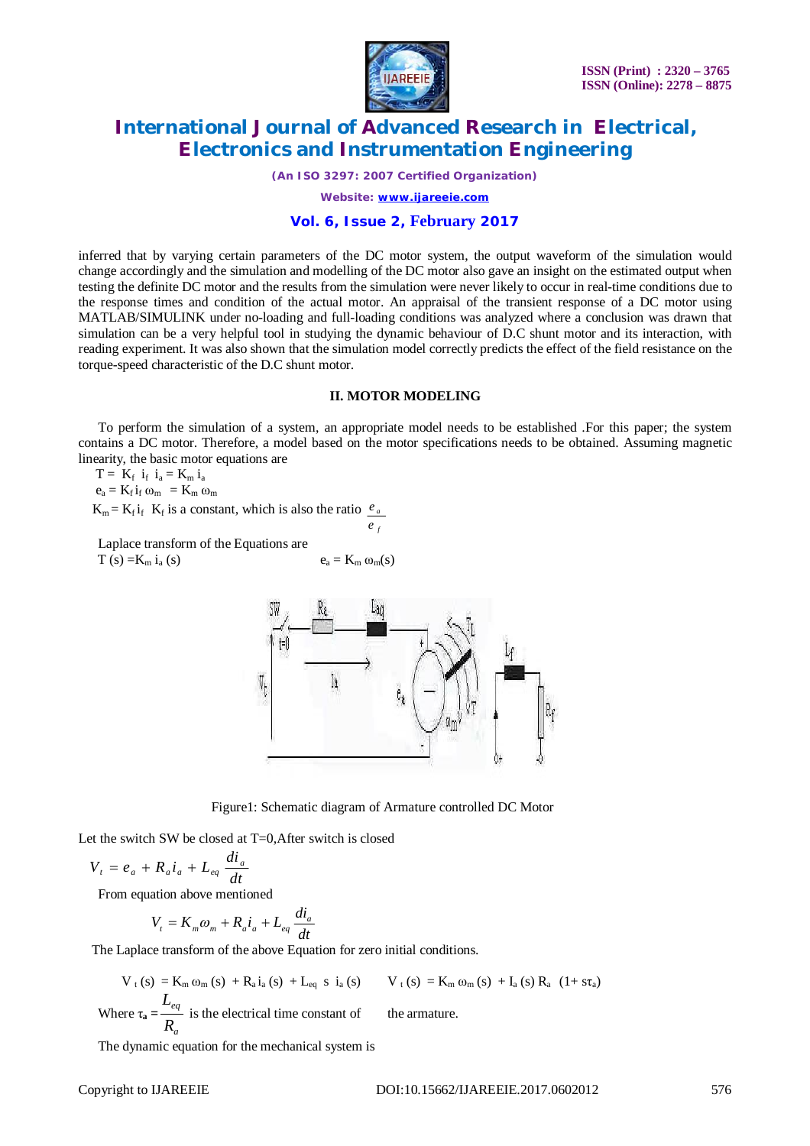

*(An ISO 3297: 2007 Certified Organization)*

*Website: [www.ijareeie.com](http://www.ijareeie.com)*

#### **Vol. 6, Issue 2, February 2017**

inferred that by varying certain parameters of the DC motor system, the output waveform of the simulation would change accordingly and the simulation and modelling of the DC motor also gave an insight on the estimated output when testing the definite DC motor and the results from the simulation were never likely to occur in real-time conditions due to the response times and condition of the actual motor. An appraisal of the transient response of a DC motor using MATLAB/SIMULINK under no-loading and full-loading conditions was analyzed where a conclusion was drawn that simulation can be a very helpful tool in studying the dynamic behaviour of D.C shunt motor and its interaction, with reading experiment. It was also shown that the simulation model correctly predicts the effect of the field resistance on the torque-speed characteristic of the D.C shunt motor.

#### **II. MOTOR MODELING**

To perform the simulation of a system, an appropriate model needs to be established .For this paper; the system contains a DC motor. Therefore, a model based on the motor specifications needs to be obtained. Assuming magnetic linearity, the basic motor equations are

*f*

*e*

 $T = K_f$   $i_f$   $i_a = K_m$   $i_a$ 

 $e_a = K_f i_f \omega_m = K_m \omega_m$ 

 $K_m = K_f i_f$  K<sub>f</sub> is a constant, which is also the ratio *a e*

Laplace transform of the Equations are  $T (s) = K_m i_a (s)$   $e_a = K_m \omega_m(s)$ 



Figure1: Schematic diagram of Armature controlled DC Motor

Let the switch SW be closed at T=0,After switch is closed

$$
V_t = e_a + R_a i_a + L_{eq} \frac{di_a}{dt}
$$

From equation above mentioned

$$
V_t = K_m \omega_m + R_a i_a + L_{eq} \frac{di_a}{dt}
$$

The Laplace transform of the above Equation for zero initial conditions.

 $V_{t}(s) = K_{m} \omega_{m}(s) + R_{a} i_{a}(s) + L_{eq} s i_{a}(s)$  **i**  $V_{t}(s) = K_{m} \omega_{m}(s) + I_{a}(s) R_{a}(1+s\tau_{a})$ Where  $\tau_a =$ *a eq R L* is the electrical time constant of the armature.

The dynamic equation for the mechanical system is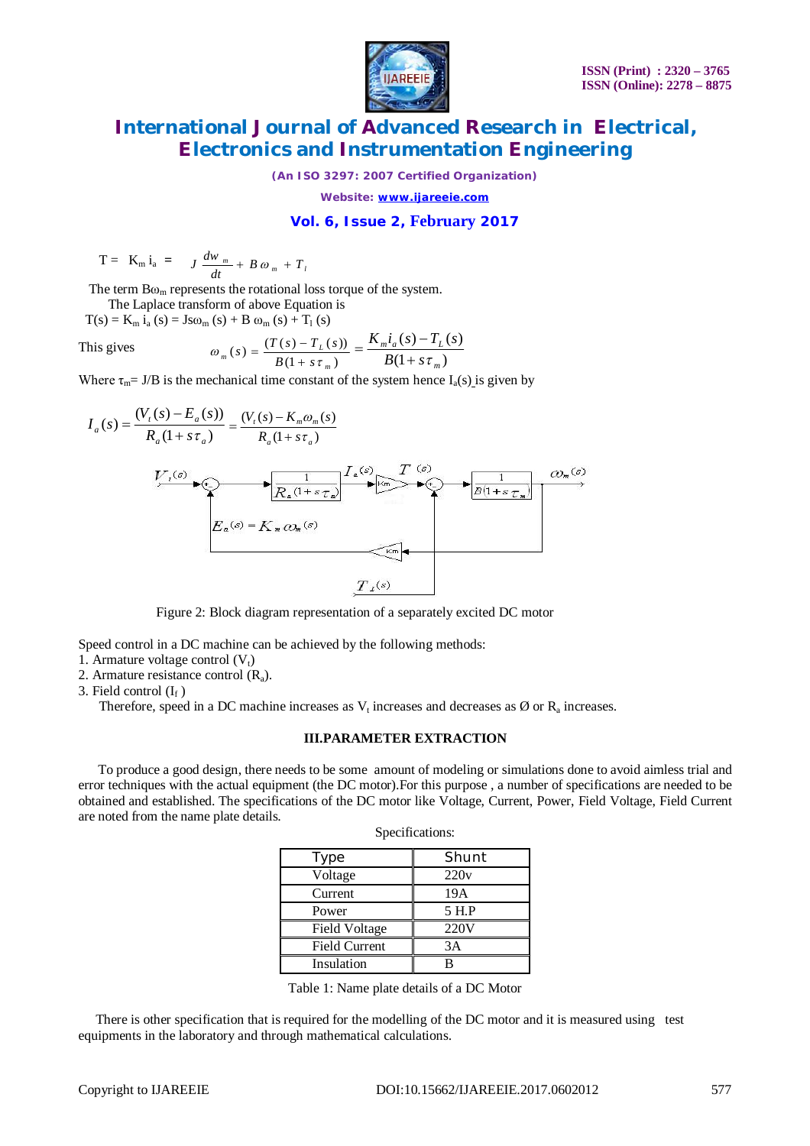

*(An ISO 3297: 2007 Certified Organization)*

*Website: [www.ijareeie.com](http://www.ijareeie.com)*

### **Vol. 6, Issue 2, February 2017**

$$
T = K_m i_a = J \frac{dw_m}{dt} + B \omega_m + T_l
$$

The term  $Bo<sub>m</sub>$  represents the rotational loss torque of the system.

 The Laplace transform of above Equation is  $T(s) = K_m i_a(s) = Js\omega_m(s) + B \omega_m(s) + T_l(s)$ 

This gives

$$
\omega_{m}(s) = \frac{(T(s) - T_{L}(s))}{B(1 + s\tau_{m})} = \frac{K_{m}i_{a}(s) - T_{L}(s)}{B(1 + s\tau_{m})}
$$

Where  $\tau_m = J/B$  is the mechanical time constant of the system hence  $I_a(s)$  is given by



Figure 2: Block diagram representation of a separately excited DC motor

Speed control in a DC machine can be achieved by the following methods:

- 1. Armature voltage control  $(V_t)$
- 2. Armature resistance control  $(R_a)$ .

3. Field control  $(I_f)$ 

Therefore, speed in a DC machine increases as  $V_t$  increases and decreases as  $\emptyset$  or  $R_a$  increases.

#### **III.PARAMETER EXTRACTION**

To produce a good design, there needs to be some amount of modeling or simulations done to avoid aimless trial and error techniques with the actual equipment (the DC motor).For this purpose , a number of specifications are needed to be obtained and established. The specifications of the DC motor like Voltage, Current, Power, Field Voltage, Field Current are noted from the name plate details.

| ype                  | Shunt |
|----------------------|-------|
| Voltage              | 220v  |
| Current              | 19A   |
| Power                | 5 H.P |
| <b>Field Voltage</b> | 220V  |
| <b>Field Current</b> | 3A    |
| Insulation           |       |

Table 1: Name plate details of a DC Motor

 There is other specification that is required for the modelling of the DC motor and it is measured using test equipments in the laboratory and through mathematical calculations.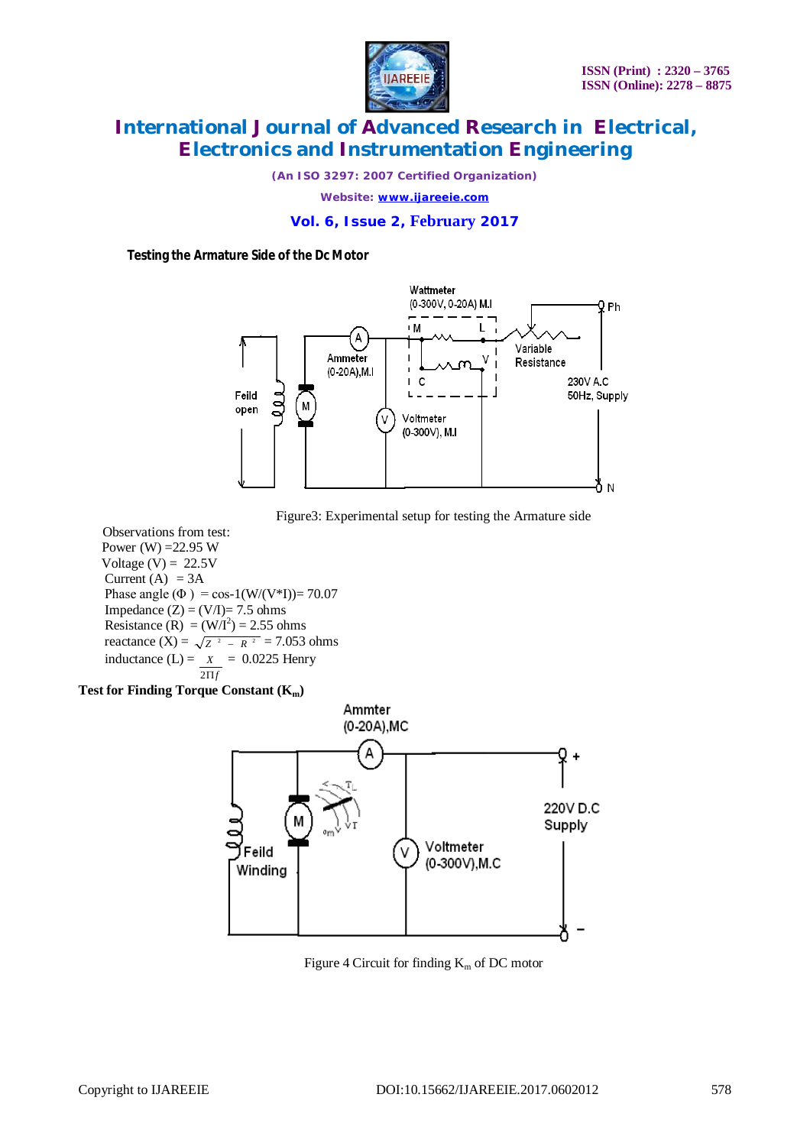

*(An ISO 3297: 2007 Certified Organization)*

*Website: [www.ijareeie.com](http://www.ijareeie.com)*

#### **Vol. 6, Issue 2, February 2017**

**Testing the Armature Side of the Dc Motor**





 Observations from test: Power (W) =  $22.95 W$ Voltage  $(V) = 22.5V$ Current  $(A) = 3A$ Phase angle ( $\Phi$ ) = cos-1(W/(V\*I))= 70.07 Impedance  $(Z) = (V/I) = 7.5$  ohms Resistance (R) =  $(W/I^2) = 2.55$  ohms reactance  $(X) = \sqrt{Z^2 - R^2} = 7.053$  ohms inductance  $(L) = X = 0.0225$  Henry  $2\Pi f$ 

#### **Test for Finding Torque Constant (Km)**



Figure 4 Circuit for finding  $K_m$  of DC motor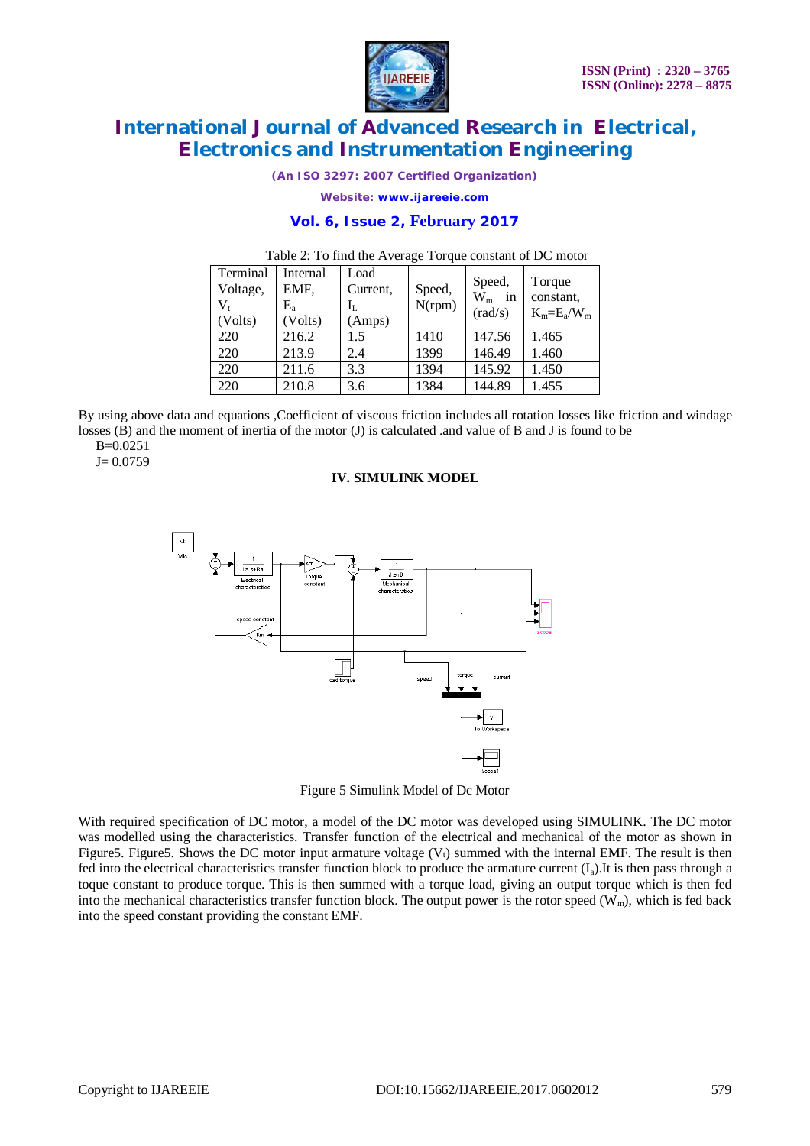

*(An ISO 3297: 2007 Certified Organization)*

*Website: [www.ijareeie.com](http://www.ijareeie.com)*

#### **Vol. 6, Issue 2, February 2017**

| Terminal<br>Voltage,<br>$V_{t}$<br>(Volts) | Internal<br>EMF,<br>$E_{\rm a}$<br>Volts) | Load<br>Current,<br>Ιī.<br>Amps) | Speed,<br>N(rpm) | Speed,<br>$W_m$<br>in<br>(rad/s) | Torque<br>constant,<br>$K_m=E_a/W_m$ |
|--------------------------------------------|-------------------------------------------|----------------------------------|------------------|----------------------------------|--------------------------------------|
| 220                                        | 216.2                                     | 1.5                              | 1410             | 147.56                           | 1.465                                |
| 220                                        | 213.9                                     | 2.4                              | 1399             | 146.49                           | 1.460                                |
| 220                                        | 211.6                                     | 3.3                              | 1394             | 145.92                           | 1.450                                |
| 220                                        | 210.8                                     | 3.6                              | 1384             | 144.89                           | 1.455                                |

#### Table 2: To find the Average Torque constant of DC motor

By using above data and equations ,Coefficient of viscous friction includes all rotation losses like friction and windage losses (B) and the moment of inertia of the motor (J) is calculated .and value of B and J is found to be B=0.0251

 $J= 0.0759$ 

#### **IV. SIMULINK MODEL**



Figure 5 Simulink Model of Dc Motor

With required specification of DC motor, a model of the DC motor was developed using SIMULINK. The DC motor was modelled using the characteristics. Transfer function of the electrical and mechanical of the motor as shown in Figure5. Figure5. Shows the DC motor input armature voltage  $(V<sub>t</sub>)$  summed with the internal EMF. The result is then fed into the electrical characteristics transfer function block to produce the armature current  $(I_a)$ .It is then pass through a toque constant to produce torque. This is then summed with a torque load, giving an output torque which is then fed into the mechanical characteristics transfer function block. The output power is the rotor speed  $(W_m)$ , which is fed back into the speed constant providing the constant EMF.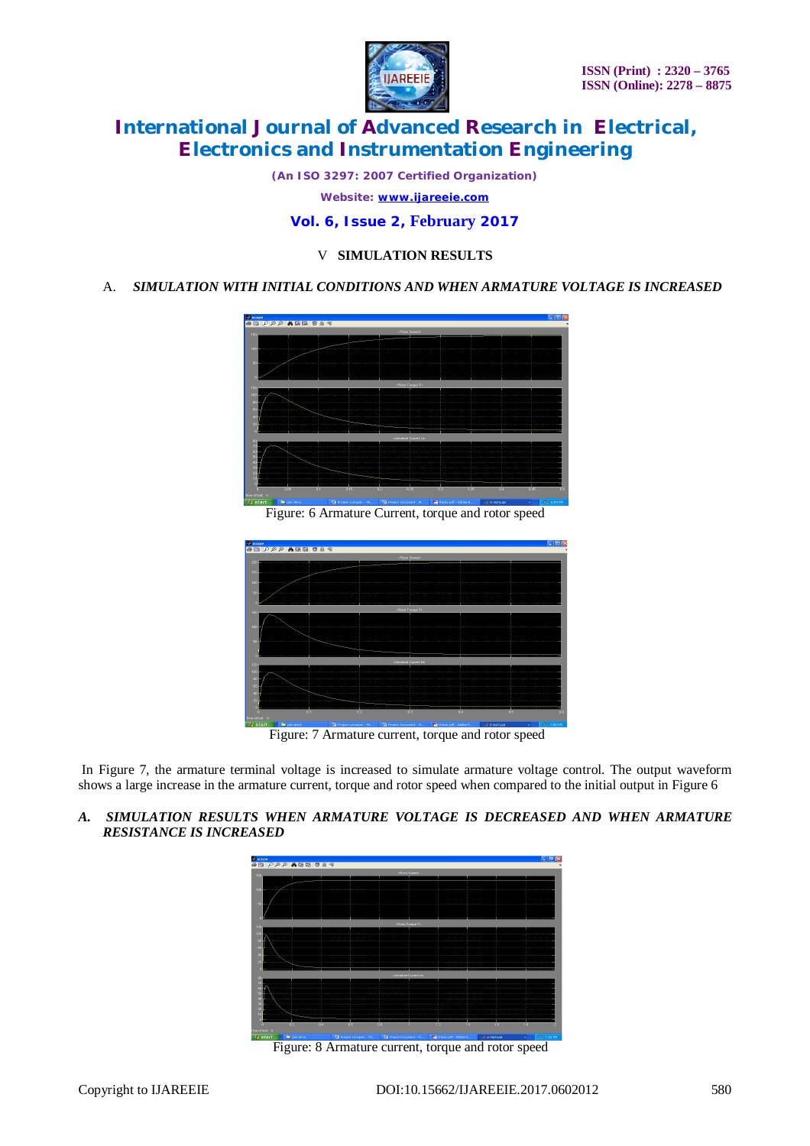

*(An ISO 3297: 2007 Certified Organization)*

*Website: [www.ijareeie.com](http://www.ijareeie.com)*

#### **Vol. 6, Issue 2, February 2017**

#### V **SIMULATION RESULTS**

#### A. *SIMULATION WITH INITIAL CONDITIONS AND WHEN ARMATURE VOLTAGE IS INCREASED*



Figure: 6 Armature Current, torque and rotor speed



Figure: 7 Armature current, torque and rotor speed

In Figure 7, the armature terminal voltage is increased to simulate armature voltage control. The output waveform shows a large increase in the armature current, torque and rotor speed when compared to the initial output in Figure 6

*A. SIMULATION RESULTS WHEN ARMATURE VOLTAGE IS DECREASED AND WHEN ARMATURE RESISTANCE IS INCREASED*



Figure: 8 Armature current, torque and rotor speed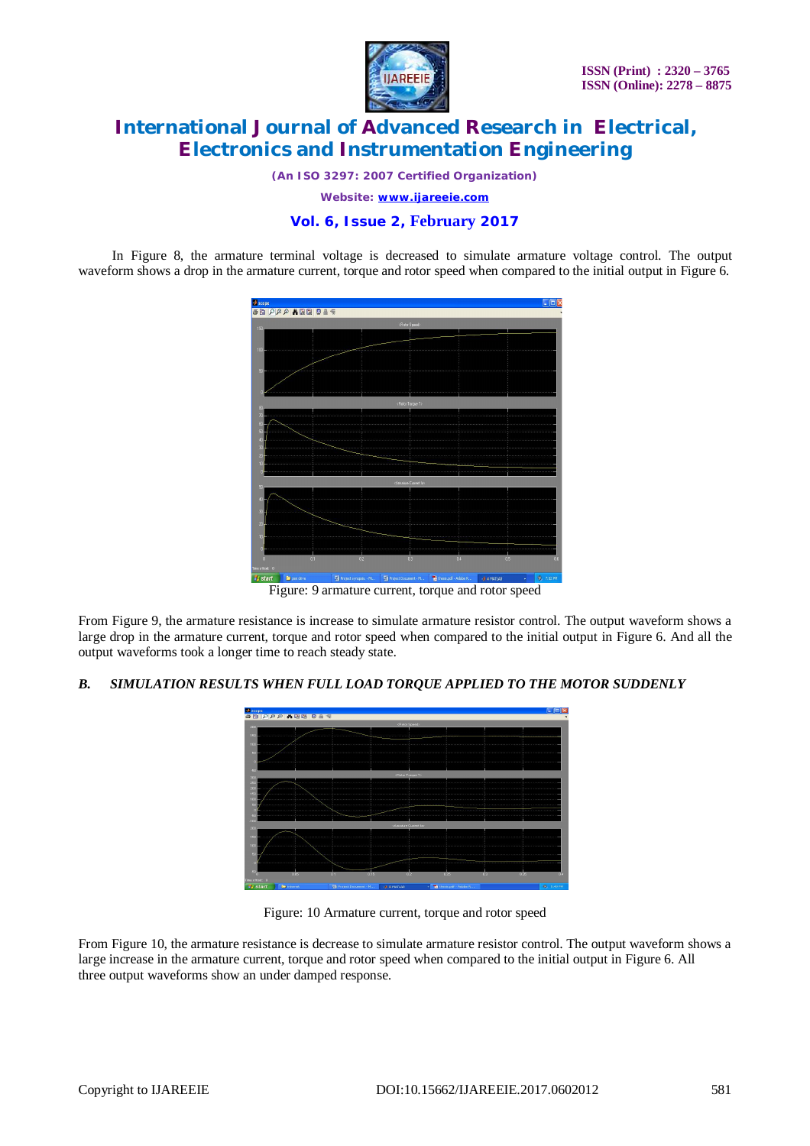

*(An ISO 3297: 2007 Certified Organization)*

*Website: [www.ijareeie.com](http://www.ijareeie.com)*

#### **Vol. 6, Issue 2, February 2017**

 In Figure 8, the armature terminal voltage is decreased to simulate armature voltage control. The output waveform shows a drop in the armature current, torque and rotor speed when compared to the initial output in Figure 6.



Figure: 9 armature current, torque and rotor speed

From Figure 9, the armature resistance is increase to simulate armature resistor control. The output waveform shows a large drop in the armature current, torque and rotor speed when compared to the initial output in Figure 6. And all the output waveforms took a longer time to reach steady state.

#### *B. SIMULATION RESULTS WHEN FULL LOAD TORQUE APPLIED TO THE MOTOR SUDDENLY*



Figure: 10 Armature current, torque and rotor speed

From Figure 10, the armature resistance is decrease to simulate armature resistor control. The output waveform shows a large increase in the armature current, torque and rotor speed when compared to the initial output in Figure 6. All three output waveforms show an under damped response.